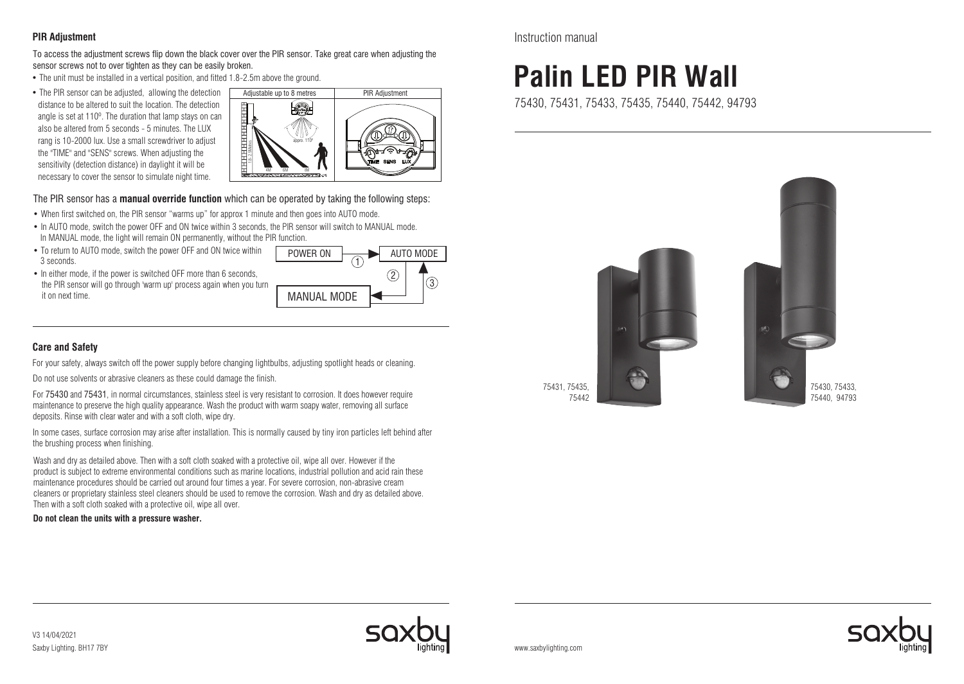## **PIR Adjustment**

To access the adjustment screws flip down the black cover over the PIR sensor. Take great care when adjusting the sensor screws not to over tighten as they can be easily broken.

- The unit must be installed in a vertical position, and fitted 1.8-2.5m above the ground.
- The PIR sensor can be adjusted, allowing the detection distance to be altered to suit the location. The detection angle is set at 110º. The duration that lamp stays on can also be altered from 5 seconds - 5 minutes. The LUX rang is 10-2000 lux. Use a small screwdriver to adjust the "TIME" and "SENS" screws. When adjusting the sensitivity (detection distance) in daylight it will be necessary to cover the sensor to simulate night time.



The PIR sensor has a **manual override function** which can be operated by taking the following steps:

- When first switched on, the PIR sensor "warms up" for approx 1 minute and then goes into AUTO mode.
- In AUTO mode, switch the power OFF and ON twice within 3 seconds, the PIR sensor will switch to MANUAL mode. In MANUAL mode, the light will remain ON permanently, without the PIR function.
- To return to AUTO mode, switch the power OFF and ON twice within 3 seconds.
- In either mode, if the power is switched OFF more than 6 seconds, the PIR sensor will go through 'warm up' process again when you turn it on next time.



# **Care and Safety**

For your safety, always switch off the power supply before changing lightbulbs, adjusting spotlight heads or cleaning.

Do not use solvents or abrasive cleaners as these could damage the finish.

For 75430 and 75431, in normal circumstances, stainless steel is very resistant to corrosion. It does however require maintenance to preserve the high quality appearance. Wash the product with warm soapy water, removing all surface deposits. Rinse with clear water and with a soft cloth, wipe dry.

In some cases, surface corrosion may arise after installation. This is normally caused by tiny iron particles left behind after the brushing process when finishing.

Wash and dry as detailed above. Then with a soft cloth soaked with a protective oil, wipe all over. However if the product is subject to extreme environmental conditions such as marine locations, industrial pollution and acid rain these maintenance procedures should be carried out around four times a year. For severe corrosion, non-abrasive cream cleaners or proprietary stainless steel cleaners should be used to remove the corrosion. Wash and dry as detailed above. Then with a soft cloth soaked with a protective oil, wipe all over.

#### **Do not clean the units with a pressure washer.**

Instruction manual

# **Palin LED PIR Wall**

75430, 75431, 75433, 75435, 75440, 75442, 94793



 75431, 75435, 75442

Saxby Lighting. BH17 7BY V3 14/04/2021



www.saxbylighting.com